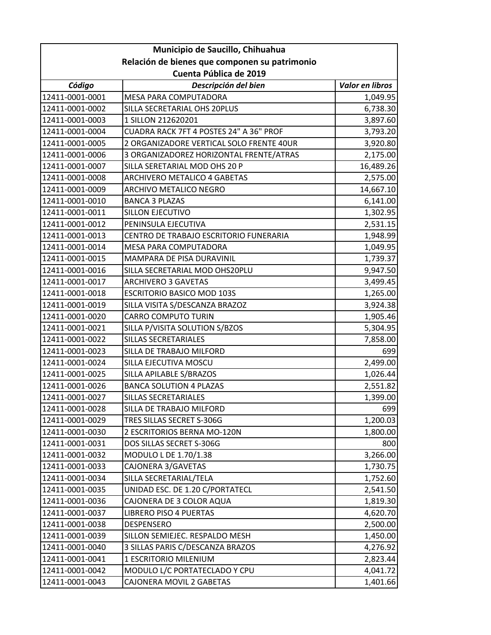| Municipio de Saucillo, Chihuahua              |                                          |                 |
|-----------------------------------------------|------------------------------------------|-----------------|
| Relación de bienes que componen su patrimonio |                                          |                 |
| Cuenta Pública de 2019                        |                                          |                 |
| Código                                        | Descripción del bien                     | Valor en libros |
| 12411-0001-0001                               | MESA PARA COMPUTADORA                    | 1,049.95        |
| 12411-0001-0002                               | SILLA SECRETARIAL OHS 20PLUS             | 6,738.30        |
| 12411-0001-0003                               | 1 SILLON 212620201                       | 3,897.60        |
| 12411-0001-0004                               | CUADRA RACK 7FT 4 POSTES 24" A 36" PROF  | 3,793.20        |
| 12411-0001-0005                               | 2 ORGANIZADORE VERTICAL SOLO FRENTE 40UR | 3,920.80        |
| 12411-0001-0006                               | 3 ORGANIZADOREZ HORIZONTAL FRENTE/ATRAS  | 2,175.00        |
| 12411-0001-0007                               | SILLA SERETARIAL MOD OHS 20 P            | 16,489.26       |
| 12411-0001-0008                               | ARCHIVERO METALICO 4 GABETAS             | 2,575.00        |
| 12411-0001-0009                               | ARCHIVO METALICO NEGRO                   | 14,667.10       |
| 12411-0001-0010                               | <b>BANCA 3 PLAZAS</b>                    | 6,141.00        |
| 12411-0001-0011                               | SILLON EJECUTIVO                         | 1,302.95        |
| 12411-0001-0012                               | PENINSULA EJECUTIVA                      | 2,531.15        |
| 12411-0001-0013                               | CENTRO DE TRABAJO ESCRITORIO FUNERARIA   | 1,948.99        |
| 12411-0001-0014                               | MESA PARA COMPUTADORA                    | 1,049.95        |
| 12411-0001-0015                               | MAMPARA DE PISA DURAVINIL                | 1,739.37        |
| 12411-0001-0016                               | SILLA SECRETARIAL MOD OHS20PLU           | 9,947.50        |
| 12411-0001-0017                               | <b>ARCHIVERO 3 GAVETAS</b>               | 3,499.45        |
| 12411-0001-0018                               | <b>ESCRITORIO BASICO MOD 103S</b>        | 1,265.00        |
| 12411-0001-0019                               | SILLA VISITA S/DESCANZA BRAZOZ           | 3,924.38        |
| 12411-0001-0020                               | <b>CARRO COMPUTO TURIN</b>               | 1,905.46        |
| 12411-0001-0021                               | SILLA P/VISITA SOLUTION S/BZOS           | 5,304.95        |
| 12411-0001-0022                               | <b>SILLAS SECRETARIALES</b>              | 7,858.00        |
| 12411-0001-0023                               | SILLA DE TRABAJO MILFORD                 | 699             |
| 12411-0001-0024                               | SILLA EJECUTIVA MOSCU                    | 2,499.00        |
| 12411-0001-0025                               | SILLA APILABLE S/BRAZOS                  | 1,026.44        |
| 12411-0001-0026                               | <b>BANCA SOLUTION 4 PLAZAS</b>           | 2,551.82        |
| 12411-0001-0027                               | SILLAS SECRETARIALES                     | 1,399.00        |
| 12411-0001-0028                               | SILLA DE TRABAJO MILFORD                 | 699             |
| 12411-0001-0029                               | TRES SILLAS SECRET S-306G                | 1,200.03        |
| 12411-0001-0030                               | 2 ESCRITORIOS BERNA MO-120N              | 1,800.00        |
| 12411-0001-0031                               | DOS SILLAS SECRET S-306G                 | 800             |
| 12411-0001-0032                               | MODULO L DE 1.70/1.38                    | 3,266.00        |
| 12411-0001-0033                               | CAJONERA 3/GAVETAS                       | 1,730.75        |
| 12411-0001-0034                               | SILLA SECRETARIAL/TELA                   | 1,752.60        |
| 12411-0001-0035                               | UNIDAD ESC. DE 1.20 C/PORTATECL          | 2,541.50        |
| 12411-0001-0036                               | CAJONERA DE 3 COLOR AQUA                 | 1,819.30        |
| 12411-0001-0037                               | LIBRERO PISO 4 PUERTAS                   | 4,620.70        |
| 12411-0001-0038                               | DESPENSERO                               | 2,500.00        |
| 12411-0001-0039                               | SILLON SEMIEJEC. RESPALDO MESH           | 1,450.00        |
| 12411-0001-0040                               | 3 SILLAS PARIS C/DESCANZA BRAZOS         | 4,276.92        |
| 12411-0001-0041                               | 1 ESCRITORIO MILENIUM                    | 2,823.44        |
| 12411-0001-0042                               | MODULO L/C PORTATECLADO Y CPU            | 4,041.72        |
| 12411-0001-0043                               | CAJONERA MOVIL 2 GABETAS                 | 1,401.66        |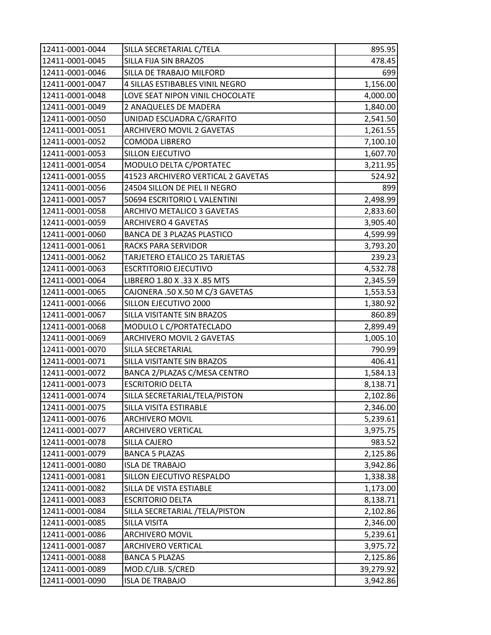| 12411-0001-0044 | SILLA SECRETARIAL C/TELA           | 895.95    |
|-----------------|------------------------------------|-----------|
| 12411-0001-0045 | SILLA FIJA SIN BRAZOS              | 478.45    |
| 12411-0001-0046 | SILLA DE TRABAJO MILFORD           | 699       |
| 12411-0001-0047 | 4 SILLAS ESTIBABLES VINIL NEGRO    | 1,156.00  |
| 12411-0001-0048 | LOVE SEAT NIPON VINIL CHOCOLATE    | 4,000.00  |
| 12411-0001-0049 | 2 ANAQUELES DE MADERA              | 1,840.00  |
| 12411-0001-0050 | UNIDAD ESCUADRA C/GRAFITO          | 2,541.50  |
| 12411-0001-0051 | ARCHIVERO MOVIL 2 GAVETAS          | 1,261.55  |
| 12411-0001-0052 | COMODA LIBRERO                     | 7,100.10  |
| 12411-0001-0053 | SILLON EJECUTIVO                   | 1,607.70  |
| 12411-0001-0054 | MODULO DELTA C/PORTATEC            | 3,211.95  |
| 12411-0001-0055 | 41523 ARCHIVERO VERTICAL 2 GAVETAS | 524.92    |
| 12411-0001-0056 | 24504 SILLON DE PIEL II NEGRO      | 899       |
| 12411-0001-0057 | 50694 ESCRITORIO L VALENTINI       | 2,498.99  |
| 12411-0001-0058 | ARCHIVO METALICO 3 GAVETAS         | 2,833.60  |
| 12411-0001-0059 | <b>ARCHIVERO 4 GAVETAS</b>         | 3,905.40  |
| 12411-0001-0060 | <b>BANCA DE 3 PLAZAS PLASTICO</b>  | 4,599.99  |
| 12411-0001-0061 | RACKS PARA SERVIDOR                | 3,793.20  |
| 12411-0001-0062 | TARJETERO ETALICO 25 TARJETAS      | 239.23    |
| 12411-0001-0063 | <b>ESCRTITORIO EJECUTIVO</b>       | 4,532.78  |
| 12411-0001-0064 | LIBRERO 1.80 X .33 X .85 MTS       | 2,345.59  |
| 12411-0001-0065 | CAJONERA .50 X.50 M C/3 GAVETAS    | 1,553.53  |
| 12411-0001-0066 | SILLON EJECUTIVO 2000              | 1,380.92  |
| 12411-0001-0067 | SILLA VISITANTE SIN BRAZOS         | 860.89    |
| 12411-0001-0068 | MODULO L C/PORTATECLADO            | 2,899.49  |
| 12411-0001-0069 | ARCHIVERO MOVIL 2 GAVETAS          | 1,005.10  |
| 12411-0001-0070 | SILLA SECRETARIAL                  | 790.99    |
| 12411-0001-0071 | SILLA VISITANTE SIN BRAZOS         | 406.41    |
| 12411-0001-0072 | BANCA 2/PLAZAS C/MESA CENTRO       | 1,584.13  |
| 12411-0001-0073 | <b>ESCRITORIO DELTA</b>            | 8,138.71  |
| 12411-0001-0074 | SILLA SECRETARIAL/TELA/PISTON      | 2,102.86  |
| 12411-0001-0075 | SILLA VISITA ESTIRABLE             | 2,346.00  |
| 12411-0001-0076 | <b>ARCHIVERO MOVIL</b>             | 5,239.61  |
| 12411-0001-0077 | <b>ARCHIVERO VERTICAL</b>          | 3,975.75  |
| 12411-0001-0078 | SILLA CAJERO                       | 983.52    |
| 12411-0001-0079 | <b>BANCA 5 PLAZAS</b>              | 2,125.86  |
| 12411-0001-0080 | <b>ISLA DE TRABAJO</b>             | 3,942.86  |
| 12411-0001-0081 | SILLON EJECUTIVO RESPALDO          | 1,338.38  |
| 12411-0001-0082 | SILLA DE VISTA ESTIABLE            | 1,173.00  |
| 12411-0001-0083 | <b>ESCRITORIO DELTA</b>            | 8,138.71  |
| 12411-0001-0084 | SILLA SECRETARIAL /TELA/PISTON     | 2,102.86  |
| 12411-0001-0085 | SILLA VISITA                       | 2,346.00  |
| 12411-0001-0086 | ARCHIVERO MOVIL                    | 5,239.61  |
| 12411-0001-0087 | <b>ARCHIVERO VERTICAL</b>          | 3,975.72  |
| 12411-0001-0088 | <b>BANCA 5 PLAZAS</b>              | 2,125.86  |
| 12411-0001-0089 | MOD.C/LIB. S/CRED                  | 39,279.92 |
| 12411-0001-0090 | <b>ISLA DE TRABAJO</b>             | 3,942.86  |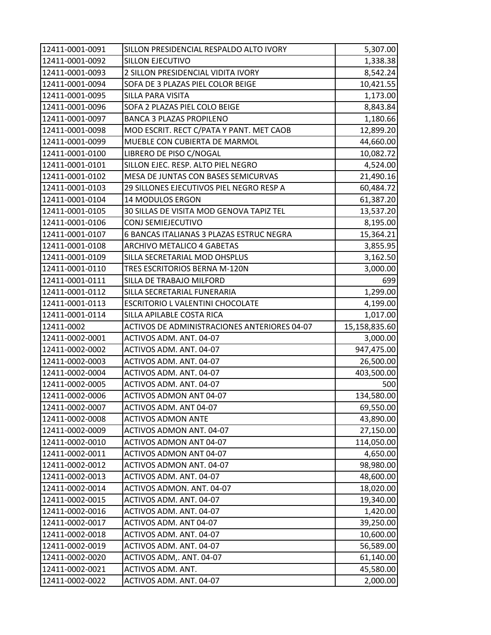| 12411-0001-0091                    | SILLON PRESIDENCIAL RESPALDO ALTO IVORY      | 5,307.00                |
|------------------------------------|----------------------------------------------|-------------------------|
| 12411-0001-0092                    | SILLON EJECUTIVO                             | 1,338.38                |
| 12411-0001-0093                    | 2 SILLON PRESIDENCIAL VIDITA IVORY           | 8,542.24                |
| 12411-0001-0094                    | SOFA DE 3 PLAZAS PIEL COLOR BEIGE            | 10,421.55               |
| 12411-0001-0095                    | SILLA PARA VISITA                            | 1,173.00                |
| 12411-0001-0096                    | SOFA 2 PLAZAS PIEL COLO BEIGE                | 8,843.84                |
| 12411-0001-0097                    | <b>BANCA 3 PLAZAS PROPILENO</b>              | 1,180.66                |
| 12411-0001-0098                    | MOD ESCRIT. RECT C/PATA Y PANT. MET CAOB     | 12,899.20               |
| 12411-0001-0099                    | MUEBLE CON CUBIERTA DE MARMOL                | 44,660.00               |
| 12411-0001-0100                    | LIBRERO DE PISO C/NOGAL                      | 10,082.72               |
| 12411-0001-0101                    | SILLON EJEC. RESP. ALTO PIEL NEGRO           | 4,524.00                |
| 12411-0001-0102                    | MESA DE JUNTAS CON BASES SEMICURVAS          | 21,490.16               |
| 12411-0001-0103                    | 29 SILLONES EJECUTIVOS PIEL NEGRO RESP A     | 60,484.72               |
| 12411-0001-0104                    | <b>14 MODULOS ERGON</b>                      | 61,387.20               |
| 12411-0001-0105                    | 30 SILLAS DE VISITA MOD GENOVA TAPIZ TEL     | 13,537.20               |
| 12411-0001-0106                    | CONJ SEMIEJECUTIVO                           | 8,195.00                |
| 12411-0001-0107                    | 6 BANCAS ITALIANAS 3 PLAZAS ESTRUC NEGRA     | 15,364.21               |
| 12411-0001-0108                    | ARCHIVO METALICO 4 GABETAS                   | 3,855.95                |
| 12411-0001-0109                    | SILLA SECRETARIAL MOD OHSPLUS                | 3,162.50                |
| 12411-0001-0110                    | TRES ESCRITORIOS BERNA M-120N                | 3,000.00                |
| 12411-0001-0111                    | SILLA DE TRABAJO MILFORD                     | 699                     |
| 12411-0001-0112                    | SILLA SECRETARIAL FUNERARIA                  | 1,299.00                |
| 12411-0001-0113                    | ESCRITORIO L VALENTINI CHOCOLATE             | 4,199.00                |
| 12411-0001-0114                    | SILLA APILABLE COSTA RICA                    | 1,017.00                |
|                                    |                                              |                         |
| 12411-0002                         | ACTIVOS DE ADMINISTRACIONES ANTERIORES 04-07 | 15,158,835.60           |
| 12411-0002-0001                    | ACTIVOS ADM. ANT. 04-07                      | 3,000.00                |
| 12411-0002-0002                    | ACTIVOS ADM. ANT. 04-07                      | 947,475.00              |
| 12411-0002-0003                    | ACTIVOS ADM. ANT. 04-07                      | 26,500.00               |
| 12411-0002-0004                    | ACTIVOS ADM. ANT. 04-07                      |                         |
| 12411-0002-0005                    | ACTIVOS ADM. ANT. 04-07                      | 500                     |
| 12411-0002-0006                    | <b>ACTIVOS ADMON ANT 04-07</b>               | 134,580.00              |
| 12411-0002-0007                    | ACTIVOS ADM. ANT 04-07                       | 69,550.00               |
| 12411-0002-0008                    | <b>ACTIVOS ADMON ANTE</b>                    | 43,890.00               |
| 12411-0002-0009                    | ACTIVOS ADMON ANT. 04-07                     | 27,150.00               |
| 12411-0002-0010                    | ACTIVOS ADMON ANT 04-07                      | 114,050.00              |
| 12411-0002-0011                    | ACTIVOS ADMON ANT 04-07                      | 4,650.00                |
| 12411-0002-0012                    | ACTIVOS ADMON ANT. 04-07                     | 98,980.00               |
| 12411-0002-0013                    | ACTIVOS ADM. ANT. 04-07                      | 48,600.00               |
| 12411-0002-0014                    | ACTIVOS ADMON. ANT. 04-07                    | 18,020.00               |
| 12411-0002-0015                    | ACTIVOS ADM. ANT. 04-07                      | 19,340.00               |
| 12411-0002-0016                    | ACTIVOS ADM. ANT. 04-07                      | 1,420.00                |
| 12411-0002-0017                    | ACTIVOS ADM. ANT 04-07                       | 39,250.00               |
| 12411-0002-0018                    | ACTIVOS ADM. ANT. 04-07                      | 403,500.00<br>10,600.00 |
| 12411-0002-0019                    | ACTIVOS ADM. ANT. 04-07                      | 56,589.00               |
| 12411-0002-0020                    | ACTIVOS ADM,. ANT. 04-07                     | 61,140.00               |
| 12411-0002-0021<br>12411-0002-0022 | ACTIVOS ADM. ANT.<br>ACTIVOS ADM. ANT. 04-07 | 45,580.00<br>2,000.00   |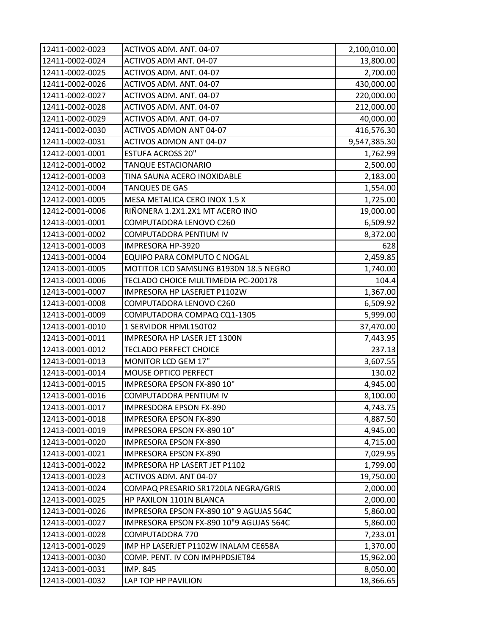| 12411-0002-0023 | ACTIVOS ADM. ANT. 04-07                  | 2,100,010.00 |
|-----------------|------------------------------------------|--------------|
| 12411-0002-0024 | ACTIVOS ADM ANT. 04-07                   | 13,800.00    |
| 12411-0002-0025 | ACTIVOS ADM. ANT. 04-07                  | 2,700.00     |
| 12411-0002-0026 | ACTIVOS ADM. ANT. 04-07                  | 430,000.00   |
| 12411-0002-0027 | ACTIVOS ADM. ANT. 04-07                  | 220,000.00   |
| 12411-0002-0028 | ACTIVOS ADM. ANT. 04-07                  | 212,000.00   |
| 12411-0002-0029 | ACTIVOS ADM. ANT. 04-07                  | 40,000.00    |
| 12411-0002-0030 | <b>ACTIVOS ADMON ANT 04-07</b>           | 416,576.30   |
| 12411-0002-0031 | ACTIVOS ADMON ANT 04-07                  | 9,547,385.30 |
| 12412-0001-0001 | <b>ESTUFA ACROSS 20"</b>                 | 1,762.99     |
| 12412-0001-0002 | TANQUE ESTACIONARIO                      | 2,500.00     |
| 12412-0001-0003 | TINA SAUNA ACERO INOXIDABLE              | 2,183.00     |
| 12412-0001-0004 | <b>TANQUES DE GAS</b>                    | 1,554.00     |
| 12412-0001-0005 | MESA METALICA CERO INOX 1.5 X            | 1,725.00     |
| 12412-0001-0006 | RIÑONERA 1.2X1.2X1 MT ACERO INO          | 19,000.00    |
| 12413-0001-0001 | COMPUTADORA LENOVO C260                  | 6,509.92     |
| 12413-0001-0002 | COMPUTADORA PENTIUM IV                   | 8,372.00     |
| 12413-0001-0003 | IMPRESORA HP-3920                        | 628          |
| 12413-0001-0004 | EQUIPO PARA COMPUTO C NOGAL              | 2,459.85     |
| 12413-0001-0005 | MOTITOR LCD SAMSUNG B1930N 18.5 NEGRO    | 1,740.00     |
| 12413-0001-0006 | TECLADO CHOICE MULTIMEDIA PC-200178      | 104.4        |
| 12413-0001-0007 | IMPRESORA HP LASERJET P1102W             | 1,367.00     |
| 12413-0001-0008 | COMPUTADORA LENOVO C260                  | 6,509.92     |
| 12413-0001-0009 | COMPUTADORA COMPAQ CQ1-1305              | 5,999.00     |
| 12413-0001-0010 | 1 SERVIDOR HPML150T02                    | 37,470.00    |
| 12413-0001-0011 | IMPRESORA HP LASER JET 1300N             | 7,443.95     |
| 12413-0001-0012 | <b>TECLADO PERFECT CHOICE</b>            | 237.13       |
| 12413-0001-0013 | MONITOR LCD GEM 17"                      | 3,607.55     |
| 12413-0001-0014 | MOUSE OPTICO PERFECT                     | 130.02       |
| 12413-0001-0015 | IMPRESORA EPSON FX-890 10"               | 4,945.00     |
| 12413-0001-0016 | COMPUTADORA PENTIUM IV                   | 8,100.00     |
| 12413-0001-0017 | <b>IMPRESDORA EPSON FX-890</b>           | 4,743.75     |
| 12413-0001-0018 | <b>IMPRESORA EPSON FX-890</b>            | 4,887.50     |
| 12413-0001-0019 | IMPRESORA EPSON FX-890 10"               | 4,945.00     |
| 12413-0001-0020 | <b>IMPRESORA EPSON FX-890</b>            | 4,715.00     |
| 12413-0001-0021 | <b>IMPRESORA EPSON FX-890</b>            | 7,029.95     |
| 12413-0001-0022 | IMPRESORA HP LASERT JET P1102            | 1,799.00     |
| 12413-0001-0023 | ACTIVOS ADM. ANT 04-07                   | 19,750.00    |
| 12413-0001-0024 | COMPAQ PRESARIO SR1720LA NEGRA/GRIS      | 2,000.00     |
| 12413-0001-0025 | HP PAXILON 1101N BLANCA                  | 2,000.00     |
| 12413-0001-0026 | IMPRESORA EPSON FX-890 10" 9 AGUJAS 564C | 5,860.00     |
| 12413-0001-0027 | IMPRESORA EPSON FX-890 10"9 AGUJAS 564C  | 5,860.00     |
| 12413-0001-0028 | COMPUTADORA 770                          | 7,233.01     |
| 12413-0001-0029 | IMP HP LASERJET P1102W INALAM CE658A     | 1,370.00     |
| 12413-0001-0030 | COMP. PENT. IV CON IMPHPDSJET84          | 15,962.00    |
| 12413-0001-0031 | IMP. 845                                 | 8,050.00     |
| 12413-0001-0032 | LAP TOP HP PAVILION                      | 18,366.65    |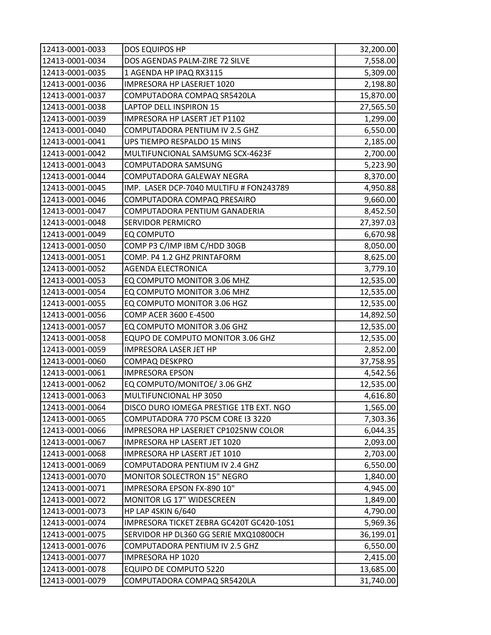| 12413-0001-0033 | DOS EQUIPOS HP                           | 32,200.00 |
|-----------------|------------------------------------------|-----------|
| 12413-0001-0034 | DOS AGENDAS PALM-ZIRE 72 SILVE           | 7,558.00  |
| 12413-0001-0035 | 1 AGENDA HP IPAQ RX3115                  | 5,309.00  |
| 12413-0001-0036 | IMPRESORA HP LASERJET 1020               | 2,198.80  |
| 12413-0001-0037 | COMPUTADORA COMPAQ SR5420LA              | 15,870.00 |
| 12413-0001-0038 | LAPTOP DELL INSPIRON 15                  | 27,565.50 |
| 12413-0001-0039 | IMPRESORA HP LASERT JET P1102            | 1,299.00  |
| 12413-0001-0040 | COMPUTADORA PENTIUM IV 2.5 GHZ           | 6,550.00  |
| 12413-0001-0041 | UPS TIEMPO RESPALDO 15 MINS              | 2,185.00  |
| 12413-0001-0042 | MULTIFUNCIONAL SAMSUMG SCX-4623F         | 2,700.00  |
| 12413-0001-0043 | COMPUTADORA SAMSUNG                      | 5,223.90  |
| 12413-0001-0044 | COMPUTADORA GALEWAY NEGRA                | 8,370.00  |
| 12413-0001-0045 | IMP. LASER DCP-7040 MULTIFU # FON243789  | 4,950.88  |
| 12413-0001-0046 | COMPUTADORA COMPAQ PRESAIRO              | 9,660.00  |
| 12413-0001-0047 | COMPUTADORA PENTIUM GANADERIA            | 8,452.50  |
| 12413-0001-0048 | SERVIDOR PERMICRO                        | 27,397.03 |
| 12413-0001-0049 | EQ COMPUTO                               | 6,670.98  |
| 12413-0001-0050 | COMP P3 C/IMP IBM C/HDD 30GB             | 8,050.00  |
| 12413-0001-0051 | COMP. P4 1.2 GHZ PRINTAFORM              | 8,625.00  |
| 12413-0001-0052 | <b>AGENDA ELECTRONICA</b>                | 3,779.10  |
| 12413-0001-0053 | EQ COMPUTO MONITOR 3.06 MHZ              | 12,535.00 |
| 12413-0001-0054 | EQ COMPUTO MONITOR 3.06 MHZ              | 12,535.00 |
| 12413-0001-0055 | EQ COMPUTO MONITOR 3.06 HGZ              | 12,535.00 |
| 12413-0001-0056 | COMP ACER 3600 E-4500                    | 14,892.50 |
| 12413-0001-0057 | EQ COMPUTO MONITOR 3.06 GHZ              | 12,535.00 |
| 12413-0001-0058 | EQUPO DE COMPUTO MONITOR 3.06 GHZ        | 12,535.00 |
| 12413-0001-0059 | IMPRESORA LASER JET HP                   | 2,852.00  |
| 12413-0001-0060 | <b>COMPAQ DESKPRO</b>                    | 37,758.95 |
| 12413-0001-0061 | <b>IMPRESORA EPSON</b>                   | 4,542.56  |
| 12413-0001-0062 | EQ COMPUTO/MONITOE/3.06 GHZ              | 12,535.00 |
| 12413-0001-0063 | MULTIFUNCIONAL HP 3050                   | 4,616.80  |
| 12413-0001-0064 | DISCO DURO IOMEGA PRESTIGE 1TB EXT. NGO  | 1,565.00  |
| 12413-0001-0065 | COMPUTADORA 770 PSCM CORE I3 3220        | 7,303.36  |
| 12413-0001-0066 | IMPRESORA HP LASERJET CP1025NW COLOR     | 6,044.35  |
| 12413-0001-0067 | IMPRESORA HP LASERT JET 1020             | 2,093.00  |
| 12413-0001-0068 | IMPRESORA HP LASERT JET 1010             | 2,703.00  |
| 12413-0001-0069 | COMPUTADORA PENTIUM IV 2.4 GHZ           | 6,550.00  |
| 12413-0001-0070 | MONITOR SOLECTRON 15" NEGRO              | 1,840.00  |
| 12413-0001-0071 | IMPRESORA EPSON FX-890 10"               | 4,945.00  |
| 12413-0001-0072 | MONITOR LG 17" WIDESCREEN                | 1,849.00  |
| 12413-0001-0073 | HP LAP 4SKIN 6/640                       | 4,790.00  |
| 12413-0001-0074 | IMPRESORA TICKET ZEBRA GC420T GC420-10S1 | 5,969.36  |
| 12413-0001-0075 | SERVIDOR HP DL360 GG SERIE MXQ10800CH    | 36,199.01 |
| 12413-0001-0076 | COMPUTADORA PENTIUM IV 2.5 GHZ           | 6,550.00  |
| 12413-0001-0077 | IMPRESORA HP 1020                        | 2,415.00  |
| 12413-0001-0078 | <b>EQUIPO DE COMPUTO 5220</b>            | 13,685.00 |
| 12413-0001-0079 | COMPUTADORA COMPAQ SR5420LA              | 31,740.00 |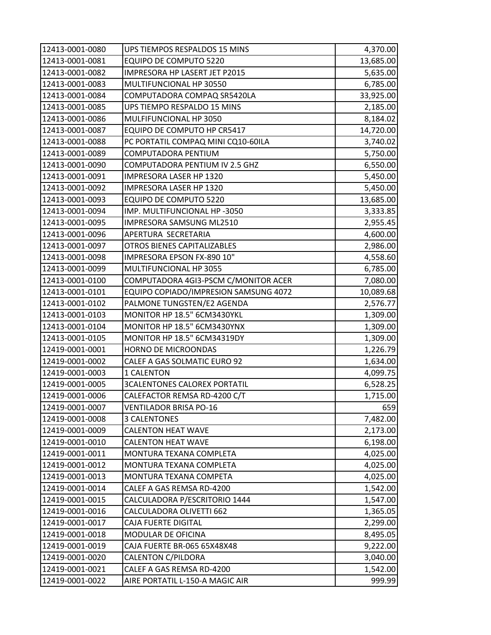| 12413-0001-0080 | UPS TIEMPOS RESPALDOS 15 MINS         | 4,370.00  |
|-----------------|---------------------------------------|-----------|
| 12413-0001-0081 | EQUIPO DE COMPUTO 5220                | 13,685.00 |
| 12413-0001-0082 | IMPRESORA HP LASERT JET P2015         | 5,635.00  |
| 12413-0001-0083 | MULTIFUNCIONAL HP 30550               | 6,785.00  |
| 12413-0001-0084 | COMPUTADORA COMPAQ SR5420LA           | 33,925.00 |
| 12413-0001-0085 | UPS TIEMPO RESPALDO 15 MINS           | 2,185.00  |
| 12413-0001-0086 | MULFIFUNCIONAL HP 3050                | 8,184.02  |
| 12413-0001-0087 | EQUIPO DE COMPUTO HP CR5417           | 14,720.00 |
| 12413-0001-0088 | PC PORTATIL COMPAQ MINI CQ10-60ILA    | 3,740.02  |
| 12413-0001-0089 | COMPUTADORA PENTIUM                   | 5,750.00  |
| 12413-0001-0090 | COMPUTADORA PENTIUM IV 2.5 GHZ        | 6,550.00  |
| 12413-0001-0091 | IMPRESORA LASER HP 1320               | 5,450.00  |
| 12413-0001-0092 | IMPRESORA LASER HP 1320               | 5,450.00  |
| 12413-0001-0093 | <b>EQUIPO DE COMPUTO 5220</b>         | 13,685.00 |
| 12413-0001-0094 | IMP. MULTIFUNCIONAL HP -3050          | 3,333.85  |
| 12413-0001-0095 | IMPRESORA SAMSUNG ML2510              | 2,955.45  |
| 12413-0001-0096 | APERTURA SECRETARIA                   | 4,600.00  |
| 12413-0001-0097 | <b>OTROS BIENES CAPITALIZABLES</b>    | 2,986.00  |
| 12413-0001-0098 | IMPRESORA EPSON FX-890 10"            | 4,558.60  |
| 12413-0001-0099 | MULTIFUNCIONAL HP 3055                | 6,785.00  |
| 12413-0001-0100 | COMPUTADORA 4GI3-PSCM C/MONITOR ACER  | 7,080.00  |
| 12413-0001-0101 | EQUIPO COPIADO/IMPRESION SAMSUNG 4072 | 10,089.68 |
| 12413-0001-0102 | PALMONE TUNGSTEN/E2 AGENDA            | 2,576.77  |
| 12413-0001-0103 | MONITOR HP 18.5" 6CM3430YKL           | 1,309.00  |
| 12413-0001-0104 | MONITOR HP 18.5" 6CM3430YNX           | 1,309.00  |
| 12413-0001-0105 | MONITOR HP 18.5" 6CM34319DY           | 1,309.00  |
| 12419-0001-0001 | HORNO DE MICROONDAS                   | 1,226.79  |
| 12419-0001-0002 | CALEF A GAS SOLMATIC EURO 92          | 1,634.00  |
| 12419-0001-0003 | 1 CALENTON                            | 4,099.75  |
| 12419-0001-0005 | <b>3CALENTONES CALOREX PORTATIL</b>   | 6,528.25  |
| 12419-0001-0006 | CALEFACTOR REMSA RD-4200 C/T          | 1,715.00  |
| 12419-0001-0007 | <b>VENTILADOR BRISA PO-16</b>         | 659       |
| 12419-0001-0008 | <b>3 CALENTONES</b>                   | 7,482.00  |
| 12419-0001-0009 | <b>CALENTON HEAT WAVE</b>             | 2,173.00  |
| 12419-0001-0010 | <b>CALENTON HEAT WAVE</b>             | 6,198.00  |
| 12419-0001-0011 | MONTURA TEXANA COMPLETA               | 4,025.00  |
| 12419-0001-0012 | MONTURA TEXANA COMPLETA               | 4,025.00  |
| 12419-0001-0013 | MONTURA TEXANA COMPETA                | 4,025.00  |
| 12419-0001-0014 | CALEF A GAS REMSA RD-4200             | 1,542.00  |
| 12419-0001-0015 | CALCULADORA P/ESCRITORIO 1444         | 1,547.00  |
| 12419-0001-0016 | CALCULADORA OLIVETTI 662              | 1,365.05  |
| 12419-0001-0017 | CAJA FUERTE DIGITAL                   | 2,299.00  |
| 12419-0001-0018 | MODULAR DE OFICINA                    | 8,495.05  |
| 12419-0001-0019 | CAJA FUERTE BR-065 65X48X48           | 9,222.00  |
| 12419-0001-0020 | <b>CALENTON C/PILDORA</b>             | 3,040.00  |
| 12419-0001-0021 | CALEF A GAS REMSA RD-4200             | 1,542.00  |
| 12419-0001-0022 | AIRE PORTATIL L-150-A MAGIC AIR       | 999.99    |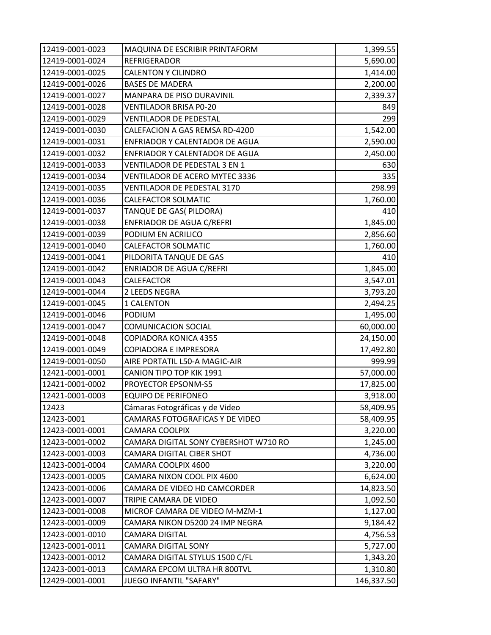| 12419-0001-0023 | MAQUINA DE ESCRIBIR PRINTAFORM        | 1,399.55   |
|-----------------|---------------------------------------|------------|
| 12419-0001-0024 | <b>REFRIGERADOR</b>                   | 5,690.00   |
| 12419-0001-0025 | <b>CALENTON Y CILINDRO</b>            | 1,414.00   |
| 12419-0001-0026 | <b>BASES DE MADERA</b>                | 2,200.00   |
| 12419-0001-0027 | MANPARA DE PISO DURAVINIL             | 2,339.37   |
| 12419-0001-0028 | VENTILADOR BRISA P0-20                | 849        |
| 12419-0001-0029 | <b>VENTILADOR DE PEDESTAL</b>         | 299        |
| 12419-0001-0030 | CALEFACION A GAS REMSA RD-4200        | 1,542.00   |
| 12419-0001-0031 | ENFRIADOR Y CALENTADOR DE AGUA        | 2,590.00   |
| 12419-0001-0032 | ENFRIADOR Y CALENTADOR DE AGUA        | 2,450.00   |
| 12419-0001-0033 | VENTILADOR DE PEDESTAL 3 EN 1         | 630        |
| 12419-0001-0034 | VENTILADOR DE ACERO MYTEC 3336        | 335        |
| 12419-0001-0035 | VENTILADOR DE PEDESTAL 3170           | 298.99     |
| 12419-0001-0036 | <b>CALEFACTOR SOLMATIC</b>            | 1,760.00   |
| 12419-0001-0037 | TANQUE DE GAS( PILDORA)               | 410        |
| 12419-0001-0038 | <b>ENFRIADOR DE AGUA C/REFRI</b>      | 1,845.00   |
| 12419-0001-0039 | PODIUM EN ACRILICO                    | 2,856.60   |
| 12419-0001-0040 | CALEFACTOR SOLMATIC                   | 1,760.00   |
| 12419-0001-0041 | PILDORITA TANQUE DE GAS               | 410        |
| 12419-0001-0042 | <b>ENRIADOR DE AGUA C/REFRI</b>       | 1,845.00   |
| 12419-0001-0043 | CALEFACTOR                            | 3,547.01   |
| 12419-0001-0044 | 2 LEEDS NEGRA                         | 3,793.20   |
| 12419-0001-0045 | 1 CALENTON                            | 2,494.25   |
| 12419-0001-0046 | <b>PODIUM</b>                         | 1,495.00   |
| 12419-0001-0047 | <b>COMUNICACION SOCIAL</b>            | 60,000.00  |
| 12419-0001-0048 | COPIADORA KONICA 4355                 | 24,150.00  |
| 12419-0001-0049 | COPIADORA E IMPRESORA                 | 17,492.80  |
| 12419-0001-0050 | AIRE PORTATIL L50-A MAGIC-AIR         | 999.99     |
| 12421-0001-0001 | <b>CANION TIPO TOP KIK 1991</b>       | 57,000.00  |
| 12421-0001-0002 | PROYECTOR EPSONM-S5                   | 17,825.00  |
| 12421-0001-0003 | <b>EQUIPO DE PERIFONEO</b>            | 3,918.00   |
| 12423           | Cámaras Fotográficas y de Video       | 58,409.95  |
| 12423-0001      | CAMARAS FOTOGRAFICAS Y DE VIDEO       | 58,409.95  |
| 12423-0001-0001 | CAMARA COOLPIX                        | 3,220.00   |
| 12423-0001-0002 | CAMARA DIGITAL SONY CYBERSHOT W710 RO | 1,245.00   |
| 12423-0001-0003 | CAMARA DIGITAL CIBER SHOT             | 4,736.00   |
| 12423-0001-0004 | CAMARA COOLPIX 4600                   | 3,220.00   |
| 12423-0001-0005 | CAMARA NIXON COOL PIX 4600            | 6,624.00   |
| 12423-0001-0006 | CAMARA DE VIDEO HD CAMCORDER          | 14,823.50  |
| 12423-0001-0007 | TRIPIE CAMARA DE VIDEO                | 1,092.50   |
| 12423-0001-0008 | MICROF CAMARA DE VIDEO M-MZM-1        | 1,127.00   |
| 12423-0001-0009 | CAMARA NIKON D5200 24 IMP NEGRA       | 9,184.42   |
| 12423-0001-0010 | CAMARA DIGITAL                        | 4,756.53   |
| 12423-0001-0011 | CAMARA DIGITAL SONY                   | 5,727.00   |
| 12423-0001-0012 | CAMARA DIGITAL STYLUS 1500 C/FL       | 1,343.20   |
| 12423-0001-0013 | CAMARA EPCOM ULTRA HR 800TVL          | 1,310.80   |
| 12429-0001-0001 | JUEGO INFANTIL "SAFARY"               | 146,337.50 |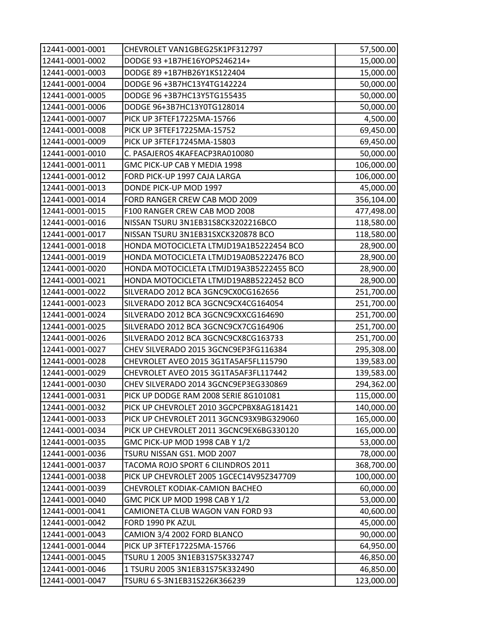| 12441-0001-0001 | CHEVROLET VAN1GBEG25K1PF312797           | 57,500.00  |
|-----------------|------------------------------------------|------------|
| 12441-0001-0002 | DODGE 93 +1B7HE16YOPS246214+             | 15,000.00  |
| 12441-0001-0003 | DODGE 89 +1B7HB26Y1KS122404              | 15,000.00  |
| 12441-0001-0004 | DODGE 96 +3B7HC13Y4TG142224              | 50,000.00  |
| 12441-0001-0005 | DODGE 96 +3B7HC13Y5TG155435              | 50,000.00  |
| 12441-0001-0006 | DODGE 96+3B7HC13Y0TG128014               | 50,000.00  |
| 12441-0001-0007 | PICK UP 3FTEF17225MA-15766               | 4,500.00   |
| 12441-0001-0008 | PICK UP 3FTEF17225MA-15752               | 69,450.00  |
| 12441-0001-0009 | PICK UP 3FTEF17245MA-15803               | 69,450.00  |
| 12441-0001-0010 | C. PASAJEROS 4KAFEACP3RA010080           | 50,000.00  |
| 12441-0001-0011 | GMC PICK-UP CAB Y MEDIA 1998             | 106,000.00 |
| 12441-0001-0012 | FORD PICK-UP 1997 CAJA LARGA             | 106,000.00 |
| 12441-0001-0013 | DONDE PICK-UP MOD 1997                   | 45,000.00  |
| 12441-0001-0014 | FORD RANGER CREW CAB MOD 2009            | 356,104.00 |
| 12441-0001-0015 | F100 RANGER CREW CAB MOD 2008            | 477,498.00 |
| 12441-0001-0016 | NISSAN TSURU 3N1EB31S8CK3202216BCO       | 118,580.00 |
| 12441-0001-0017 | NISSAN TSURU 3N1EB31SXCK320878 BCO       | 118,580.00 |
| 12441-0001-0018 | HONDA MOTOCICLETA LTMJD19A1B5222454 BCO  | 28,900.00  |
| 12441-0001-0019 | HONDA MOTOCICLETA LTMJD19A0B5222476 BCO  | 28,900.00  |
| 12441-0001-0020 | HONDA MOTOCICLETA LTMJD19A3B5222455 BCO  | 28,900.00  |
| 12441-0001-0021 | HONDA MOTOCICLETA LTMJD19A8B5222452 BCO  | 28,900.00  |
| 12441-0001-0022 | SILVERADO 2012 BCA 3GNC9CX0CG162656      | 251,700.00 |
| 12441-0001-0023 | SILVERADO 2012 BCA 3GCNC9CX4CG164054     | 251,700.00 |
| 12441-0001-0024 | SILVERADO 2012 BCA 3GCNC9CXXCG164690     | 251,700.00 |
| 12441-0001-0025 | SILVERADO 2012 BCA 3GCNC9CX7CG164906     | 251,700.00 |
| 12441-0001-0026 | SILVERADO 2012 BCA 3GCNC9CX8CG163733     | 251,700.00 |
| 12441-0001-0027 | CHEV SILVERADO 2015 3GCNC9EP3FG116384    | 295,308.00 |
| 12441-0001-0028 | CHEVROLET AVEO 2015 3G1TA5AF5FL115790    | 139,583.00 |
| 12441-0001-0029 | CHEVROLET AVEO 2015 3G1TA5AF3FL117442    | 139,583.00 |
| 12441-0001-0030 | CHEV SILVERADO 2014 3GCNC9EP3EG330869    | 294,362.00 |
| 12441-0001-0031 | PICK UP DODGE RAM 2008 SERIE 8G101081    | 115,000.00 |
| 12441-0001-0032 | PICK UP CHEVROLET 2010 3GCPCPBX8AG181421 | 140,000.00 |
| 12441-0001-0033 | PICK UP CHEVROLET 2011 3GCNC93X9BG329060 | 165,000.00 |
| 12441-0001-0034 | PICK UP CHEVROLET 2011 3GCNC9EX6BG330120 | 165,000.00 |
| 12441-0001-0035 | GMC PICK-UP MOD 1998 CAB Y 1/2           | 53,000.00  |
| 12441-0001-0036 | TSURU NISSAN GS1. MOD 2007               | 78,000.00  |
| 12441-0001-0037 | TACOMA ROJO SPORT 6 CILINDROS 2011       | 368,700.00 |
| 12441-0001-0038 | PICK UP CHEVROLET 2005 1GCEC14V95Z347709 | 100,000.00 |
| 12441-0001-0039 | CHEVROLET KODIAK-CAMION BACHEO           | 60,000.00  |
| 12441-0001-0040 | GMC PICK UP MOD 1998 CAB Y 1/2           | 53,000.00  |
| 12441-0001-0041 | CAMIONETA CLUB WAGON VAN FORD 93         | 40,600.00  |
| 12441-0001-0042 | FORD 1990 PK AZUL                        | 45,000.00  |
| 12441-0001-0043 | CAMION 3/4 2002 FORD BLANCO              | 90,000.00  |
| 12441-0001-0044 | PICK UP 3FTEF17225MA-15766               | 64,950.00  |
| 12441-0001-0045 | TSURU 1 2005 3N1EB31S75K332747           | 46,850.00  |
| 12441-0001-0046 | 1 TSURU 2005 3N1EB31S75K332490           | 46,850.00  |
| 12441-0001-0047 | TSURU 6 S-3N1EB31S226K366239             | 123,000.00 |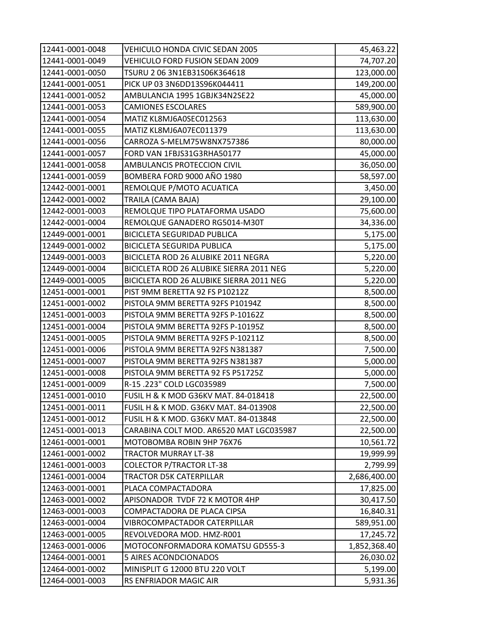| 12441-0001-0048 | VEHICULO HONDA CIVIC SEDAN 2005          | 45,463.22    |
|-----------------|------------------------------------------|--------------|
| 12441-0001-0049 | VEHICULO FORD FUSION SEDAN 2009          | 74,707.20    |
| 12441-0001-0050 | TSURU 2 06 3N1EB31S06K364618             | 123,000.00   |
| 12441-0001-0051 | PICK UP 03 3N6DD13S96K044411             | 149,200.00   |
| 12441-0001-0052 | AMBULANCIA 1995 1GBJK34N2SE22            | 45,000.00    |
| 12441-0001-0053 | <b>CAMIONES ESCOLARES</b>                | 589,900.00   |
| 12441-0001-0054 | MATIZ KL8MJ6A0SEC012563                  | 113,630.00   |
| 12441-0001-0055 | MATIZ KL8MJ6A07EC011379                  | 113,630.00   |
| 12441-0001-0056 | CARROZA S-MELM75W8NX757386               | 80,000.00    |
| 12441-0001-0057 | FORD VAN 1FBJS31G3RHA50177               | 45,000.00    |
| 12441-0001-0058 | AMBULANCIS PROTECCION CIVIL              | 36,050.00    |
| 12441-0001-0059 | BOMBERA FORD 9000 AÑO 1980               | 58,597.00    |
| 12442-0001-0001 | REMOLQUE P/MOTO ACUATICA                 | 3,450.00     |
| 12442-0001-0002 | TRAILA (CAMA BAJA)                       | 29,100.00    |
| 12442-0001-0003 | REMOLQUE TIPO PLATAFORMA USADO           | 75,600.00    |
| 12442-0001-0004 | REMOLQUE GANADERO RG5014-M30T            | 34,336.00    |
| 12449-0001-0001 | <b>BICICLETA SEGURIDAD PUBLICA</b>       | 5,175.00     |
| 12449-0001-0002 | <b>BICICLETA SEGURIDA PUBLICA</b>        | 5,175.00     |
| 12449-0001-0003 | BICICLETA ROD 26 ALUBIKE 2011 NEGRA      | 5,220.00     |
| 12449-0001-0004 | BICICLETA ROD 26 ALUBIKE SIERRA 2011 NEG | 5,220.00     |
| 12449-0001-0005 | BICICLETA ROD 26 ALUBIKE SIERRA 2011 NEG | 5,220.00     |
| 12451-0001-0001 | PIST 9MM BERETTA 92 FS P10212Z           | 8,500.00     |
| 12451-0001-0002 | PISTOLA 9MM BERETTA 92FS P10194Z         | 8,500.00     |
| 12451-0001-0003 | PISTOLA 9MM BERETTA 92FS P-10162Z        | 8,500.00     |
| 12451-0001-0004 | PISTOLA 9MM BERETTA 92FS P-10195Z        | 8,500.00     |
| 12451-0001-0005 | PISTOLA 9MM BERETTA 92FS P-10211Z        | 8,500.00     |
| 12451-0001-0006 | PISTOLA 9MM BERETTA 92FS N381387         | 7,500.00     |
| 12451-0001-0007 | PISTOLA 9MM BERETTA 92FS N381387         | 5,000.00     |
| 12451-0001-0008 | PISTOLA 9MM BERETTA 92 FS P51725Z        | 5,000.00     |
| 12451-0001-0009 | R-15 .223" COLD LGC035989                | 7,500.00     |
| 12451-0001-0010 | FUSIL H & K MOD G36KV MAT. 84-018418     | 22,500.00    |
| 12451-0001-0011 | FUSIL H & K MOD. G36KV MAT. 84-013908    | 22,500.00    |
| 12451-0001-0012 | FUSIL H & K MOD. G36KV MAT. 84-013848    | 22,500.00    |
| 12451-0001-0013 | CARABINA COLT MOD. AR6520 MAT LGC035987  | 22,500.00    |
| 12461-0001-0001 | MOTOBOMBA ROBIN 9HP 76X76                | 10,561.72    |
| 12461-0001-0002 | <b>TRACTOR MURRAY LT-38</b>              | 19,999.99    |
| 12461-0001-0003 | <b>COLECTOR P/TRACTOR LT-38</b>          | 2,799.99     |
| 12461-0001-0004 | TRACTOR D5K CATERPILLAR                  | 2,686,400.00 |
| 12463-0001-0001 | PLACA COMPACTADORA                       | 17,825.00    |
| 12463-0001-0002 | APISONADOR TVDF 72 K MOTOR 4HP           | 30,417.50    |
| 12463-0001-0003 | COMPACTADORA DE PLACA CIPSA              | 16,840.31    |
| 12463-0001-0004 | VIBROCOMPACTADOR CATERPILLAR             | 589,951.00   |
| 12463-0001-0005 | REVOLVEDORA MOD. HMZ-R001                | 17,245.72    |
| 12463-0001-0006 | MOTOCONFORMADORA KOMATSU GD555-3         | 1,852,368.40 |
| 12464-0001-0001 | 5 AIRES ACONDCIONADOS                    | 26,030.02    |
| 12464-0001-0002 | MINISPLIT G 12000 BTU 220 VOLT           | 5,199.00     |
| 12464-0001-0003 | RS ENFRIADOR MAGIC AIR                   | 5,931.36     |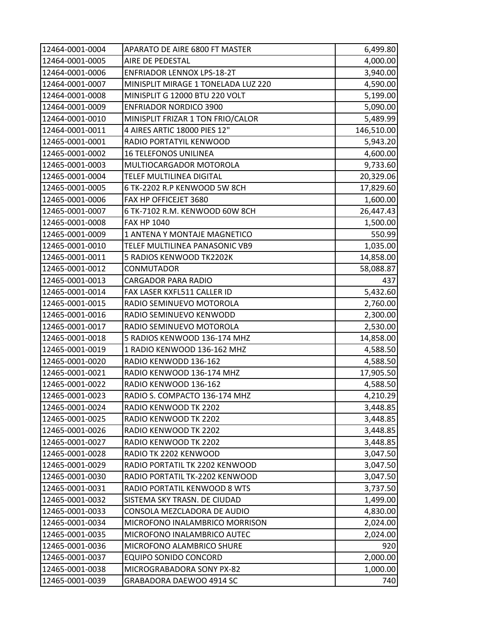| 12464-0001-0004 | APARATO DE AIRE 6800 FT MASTER      | 6,499.80   |
|-----------------|-------------------------------------|------------|
| 12464-0001-0005 | AIRE DE PEDESTAL                    | 4,000.00   |
| 12464-0001-0006 | <b>ENFRIADOR LENNOX LPS-18-2T</b>   | 3,940.00   |
| 12464-0001-0007 | MINISPLIT MIRAGE 1 TONELADA LUZ 220 | 4,590.00   |
| 12464-0001-0008 | MINISPLIT G 12000 BTU 220 VOLT      | 5,199.00   |
| 12464-0001-0009 | <b>ENFRIADOR NORDICO 3900</b>       | 5,090.00   |
| 12464-0001-0010 | MINISPLIT FRIZAR 1 TON FRIO/CALOR   | 5,489.99   |
| 12464-0001-0011 | 4 AIRES ARTIC 18000 PIES 12"        | 146,510.00 |
| 12465-0001-0001 | RADIO PORTATYIL KENWOOD             | 5,943.20   |
| 12465-0001-0002 | <b>16 TELEFONOS UNILINEA</b>        | 4,600.00   |
| 12465-0001-0003 | MULTIOCARGADOR MOTOROLA             | 9,733.60   |
| 12465-0001-0004 | TELEF MULTILINEA DIGITAL            | 20,329.06  |
| 12465-0001-0005 | 6 TK-2202 R.P KENWOOD 5W 8CH        | 17,829.60  |
| 12465-0001-0006 | FAX HP OFFICEJET 3680               | 1,600.00   |
| 12465-0001-0007 | 6 TK-7102 R.M. KENWOOD 60W 8CH      | 26,447.43  |
| 12465-0001-0008 | <b>FAX HP 1040</b>                  | 1,500.00   |
| 12465-0001-0009 | 1 ANTENA Y MONTAJE MAGNETICO        | 550.99     |
| 12465-0001-0010 | TELEF MULTILINEA PANASONIC VB9      | 1,035.00   |
| 12465-0001-0011 | 5 RADIOS KENWOOD TK2202K            | 14,858.00  |
| 12465-0001-0012 | CONMUTADOR                          | 58,088.87  |
| 12465-0001-0013 | <b>CARGADOR PARA RADIO</b>          | 437        |
| 12465-0001-0014 | FAX LASER KXFL511 CALLER ID         | 5,432.60   |
| 12465-0001-0015 | RADIO SEMINUEVO MOTOROLA            | 2,760.00   |
| 12465-0001-0016 | RADIO SEMINUEVO KENWODD             | 2,300.00   |
| 12465-0001-0017 | RADIO SEMINUEVO MOTOROLA            | 2,530.00   |
| 12465-0001-0018 | 5 RADIOS KENWOOD 136-174 MHZ        | 14,858.00  |
| 12465-0001-0019 | 1 RADIO KENWOOD 136-162 MHZ         | 4,588.50   |
| 12465-0001-0020 | RADIO KENWODD 136-162               | 4,588.50   |
| 12465-0001-0021 | RADIO KENWOOD 136-174 MHZ           | 17,905.50  |
| 12465-0001-0022 | RADIO KENWOOD 136-162               | 4,588.50   |
| 12465-0001-0023 | RADIO S. COMPACTO 136-174 MHZ       | 4,210.29   |
| 12465-0001-0024 | RADIO KENWOOD TK 2202               | 3,448.85   |
| 12465-0001-0025 | RADIO KENWOOD TK 2202               | 3,448.85   |
| 12465-0001-0026 | RADIO KENWOOD TK 2202               | 3,448.85   |
| 12465-0001-0027 | RADIO KENWOOD TK 2202               | 3,448.85   |
| 12465-0001-0028 | RADIO TK 2202 KENWOOD               | 3,047.50   |
| 12465-0001-0029 | RADIO PORTATIL TK 2202 KENWOOD      | 3,047.50   |
| 12465-0001-0030 | RADIO PORTATIL TK-2202 KENWOOD      | 3,047.50   |
| 12465-0001-0031 | RADIO PORTATIL KENWOOD 8 WTS        | 3,737.50   |
| 12465-0001-0032 | SISTEMA SKY TRASN. DE CIUDAD        | 1,499.00   |
| 12465-0001-0033 | CONSOLA MEZCLADORA DE AUDIO         | 4,830.00   |
| 12465-0001-0034 | MICROFONO INALAMBRICO MORRISON      | 2,024.00   |
| 12465-0001-0035 | MICROFONO INALAMBRICO AUTEC         | 2,024.00   |
| 12465-0001-0036 | MICROFONO ALAMBRICO SHURE           | 920        |
| 12465-0001-0037 | EQUIPO SONIDO CONCORD               | 2,000.00   |
| 12465-0001-0038 | MICROGRABADORA SONY PX-82           | 1,000.00   |
| 12465-0001-0039 | GRABADORA DAEWOO 4914 SC            | 740        |